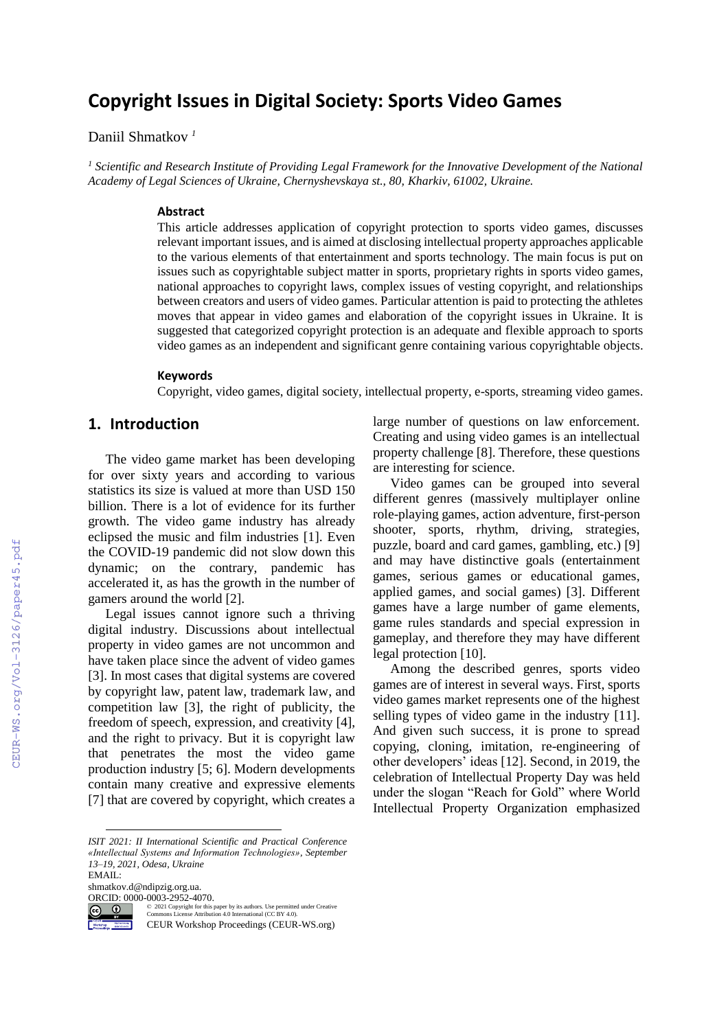# **Copyright Issues in Digital Society: Sports Video Games**

Daniil Shmatkov *<sup>1</sup>*

*<sup>1</sup> Scientific and Research Institute of Providing Legal Framework for the Innovative Development of the National Academy of Legal Sciences of Ukraine, Chernyshevskaya st., 80, Kharkiv, 61002, Ukraine.*

#### **Abstract**

This article addresses application of copyright protection to sports video games, discusses relevant important issues, and is aimed at disclosing intellectual property approaches applicable to the various elements of that entertainment and sports technology. The main focus is put on issues such as copyrightable subject matter in sports, proprietary rights in sports video games, national approaches to copyright laws, complex issues of vesting copyright, and relationships between creators and users of video games. Particular attention is paid to protecting the athletes moves that appear in video games and elaboration of the copyright issues in Ukraine. It is suggested that categorized copyright protection is an adequate and flexible approach to sports video games as an independent and significant genre containing various copyrightable objects.

#### **Keywords 1**

Copyright, video games, digital society, intellectual property, e-sports, streaming video games.

#### **1. Introduction**

The video game market has been developing for over sixty years and according to various statistics its size is valued at more than USD 150 billion. There is a lot of evidence for its further growth. The video game industry has already eclipsed the music and film industries [1]. Even the COVID-19 pandemic did not slow down this dynamic; on the contrary, pandemic has accelerated it, as has the growth in the number of gamers around the world [2].

Legal issues cannot ignore such a thriving digital industry. Discussions about intellectual property in video games are not uncommon and have taken place since the advent of video games [3]. In most cases that digital systems are covered by copyright law, patent law, trademark law, and competition law [3], the right of publicity, the freedom of speech, expression, and creativity [4], and the right to privacy. But it is copyright law that penetrates the most the video game production industry [5; 6]. Modern developments contain many creative and expressive elements [7] that are covered by copyright, which creates a

shmatkov.d@ndipzig.org.ua.

ORCID:  $0000-0003-2952-4070.$ 



 $\overline{a}$ 

©️ 2021 Copyright for this paper by its authors. Use permitted under Creative Commons License Attribution 4.0 International (CC BY 4.0).

CEUR Workshop Proceedings (CEUR-WS.org)

large number of questions on law enforcement. Creating and using video games is an intellectual property challenge [8]. Therefore, these questions are interesting for science.

Video games can be grouped into several different genres (massively multiplayer online role-playing games, action adventure, first-person shooter, sports, rhythm, driving, strategies, puzzle, board and card games, gambling, etc.) [9] and may have distinctive goals (entertainment games, serious games or educational games, applied games, and social games) [3]. Different games have a large number of game elements, game rules standards and special expression in gameplay, and therefore they may have different legal protection [10].

Among the described genres, sports video games are of interest in several ways. First, sports video games market represents one of the highest selling types of video game in the industry [11]. And given such success, it is prone to spread copying, cloning, imitation, re-engineering of other developers' ideas [12]. Second, in 2019, the celebration of Intellectual Property Day was held under the slogan "Reach for Gold" where World Intellectual Property Organization emphasized

*ISIT 2021: II International Scientific and Practical Conference «Intellectual Systems and Information Technologies», September 13–19, 2021, Odesa, Ukraine* EMAIL: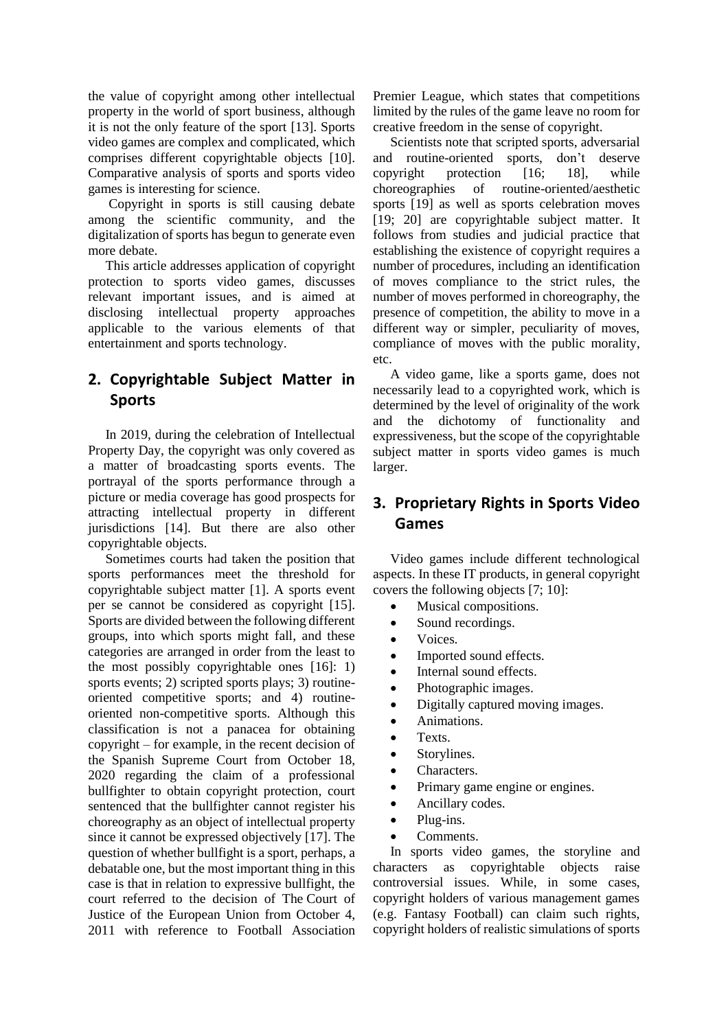the value of copyright among other intellectual property in the world of sport business, although it is not the only feature of the sport [13]. Sports video games are complex and complicated, which comprises different copyrightable objects [10]. Comparative analysis of sports and sports video games is interesting for science.

Copyright in sports is still causing debate among the scientific community, and the digitalization of sports has begun to generate even more debate.

This article addresses application of copyright protection to sports video games, discusses relevant important issues, and is aimed at disclosing intellectual property approaches applicable to the various elements of that entertainment and sports technology.

# **2. Copyrightable Subject Matter in Sports**

In 2019, during the celebration of Intellectual Property Day, the copyright was only covered as a matter of broadcasting sports events. The portrayal of the sports performance through a picture or media coverage has good prospects for attracting intellectual property in different jurisdictions [14]. But there are also other copyrightable objects.

Sometimes courts had taken the position that sports performances meet the threshold for copyrightable subject matter [1]. A sports event per se cannot be considered as copyright [15]. Sports are divided between the following different groups, into which sports might fall, and these categories are arranged in order from the least to the most possibly copyrightable ones [16]: 1) sports events; 2) scripted sports plays; 3) routineoriented competitive sports; and 4) routineoriented non-competitive sports. Although this classification is not a panacea for obtaining copyright – for example, in the recent decision of the Spanish Supreme Court from October 18, 2020 regarding the claim of a professional bullfighter to obtain copyright protection, court sentenced that the bullfighter cannot register his choreography as an object of intellectual property since it cannot be expressed objectively [17]. The question of whether bullfight is a sport, perhaps, a debatable one, but the most important thing in this case is that in relation to expressive bullfight, the court referred to the decision of The Court of Justice of the European Union from October 4, 2011 with reference to Football Association

Premier League, which states that competitions limited by the rules of the game leave no room for creative freedom in the sense of copyright.

Scientists note that scripted sports, adversarial and routine-oriented sports, don't deserve copyright protection [16; 18], while choreographies of routine-oriented/aesthetic sports [19] as well as sports celebration moves [19; 20] are copyrightable subject matter. It follows from studies and judicial practice that establishing the existence of copyright requires a number of procedures, including an identification of moves compliance to the strict rules, the number of moves performed in choreography, the presence of competition, the ability to move in a different way or simpler, peculiarity of moves, compliance of moves with the public morality, etc.

A video game, like a sports game, does not necessarily lead to a copyrighted work, which is determined by the level of originality of the work and the dichotomy of functionality and expressiveness, but the scope of the copyrightable subject matter in sports video games is much larger.

# **3. Proprietary Rights in Sports Video Games**

Video games include different technological aspects. In these IT products, in general copyright covers the following objects [7; 10]:

- Musical compositions.
- Sound recordings.
- Voices.
- Imported sound effects.
- Internal sound effects.
- Photographic images.
- Digitally captured moving images.
- Animations.
- Texts.
- Storylines.
- Characters.
- Primary game engine or engines.
- Ancillary codes.
- $\bullet$  Plug-ins.
- Comments.

In sports video games, the storyline and characters as copyrightable objects raise controversial issues. While, in some cases, copyright holders of various management games (e.g. Fantasy Football) can claim such rights, copyright holders of realistic simulations of sports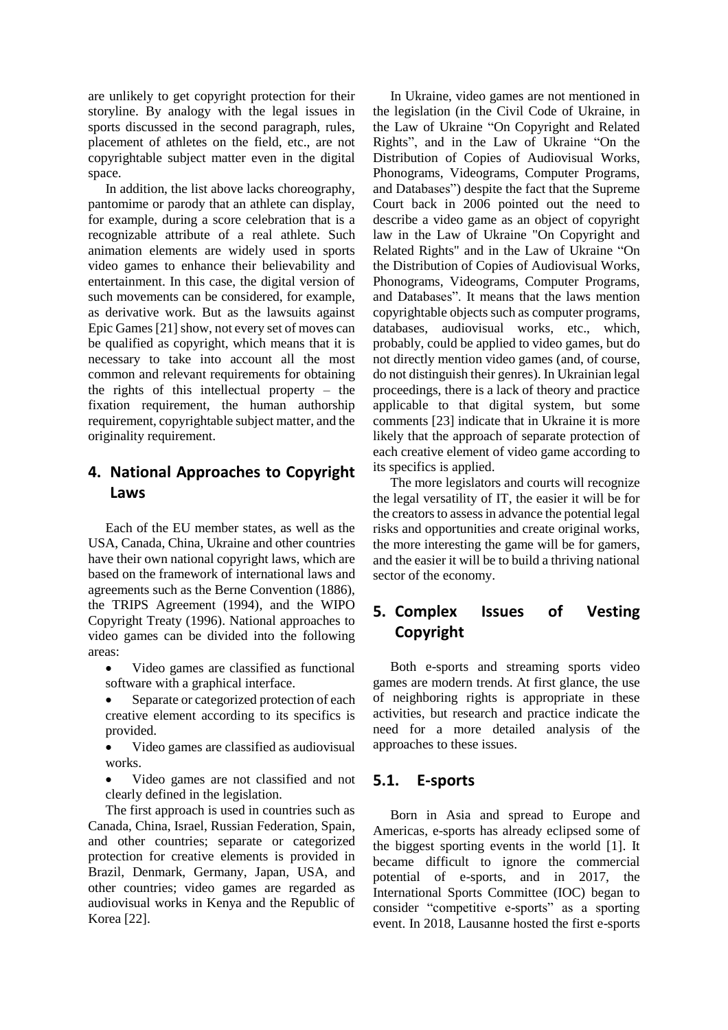are unlikely to get copyright protection for their storyline. By analogy with the legal issues in sports discussed in the second paragraph, rules, placement of athletes on the field, etc., are not copyrightable subject matter even in the digital space.

In addition, the list above lacks choreography, pantomime or parody that an athlete can display, for example, during a score celebration that is a recognizable attribute of a real athlete. Such animation elements are widely used in sports video games to enhance their believability and entertainment. In this case, the digital version of such movements can be considered, for example, as derivative work. But as the lawsuits against Epic Games [21] show, not every set of moves can be qualified as copyright, which means that it is necessary to take into account all the most common and relevant requirements for obtaining the rights of this intellectual property – the fixation requirement, the human authorship requirement, copyrightable subject matter, and the originality requirement.

### **4. National Approaches to Copyright Laws**

Each of the EU member states, as well as the USA, Canada, China, Ukraine and other countries have their own national copyright laws, which are based on the framework of international laws and agreements such as the Berne Convention (1886), the TRIPS Agreement (1994), and the WIPO Copyright Treaty (1996). National approaches to video games can be divided into the following areas:

- Video games are classified as functional software with a graphical interface.
- Separate or categorized protection of each creative element according to its specifics is provided.
- Video games are classified as audiovisual works.
- Video games are not classified and not clearly defined in the legislation.

The first approach is used in countries such as Canada, China, Israel, Russian Federation, Spain, and other countries; separate or categorized protection for creative elements is provided in Brazil, Denmark, Germany, Japan, USA, and other countries; video games are regarded as audiovisual works in Kenya and the Republic of Korea [22].

In Ukraine, video games are not mentioned in the legislation (in the Civil Code of Ukraine, in the Law of Ukraine "On Copyright and Related Rights", and in the Law of Ukraine "On the Distribution of Copies of Audiovisual Works, Phonograms, Videograms, Computer Programs, and Databases") despite the fact that the Supreme Court back in 2006 pointed out the need to describe a video game as an object of copyright law in the Law of Ukraine "On Copyright and Related Rights" and in the Law of Ukraine "On the Distribution of Copies of Audiovisual Works, Phonograms, Videograms, Computer Programs, and Databases". It means that the laws mention copyrightable objects such as computer programs, databases, audiovisual works, etc., which, probably, could be applied to video games, but do not directly mention video games (and, of course, do not distinguish their genres). In Ukrainian legal proceedings, there is a lack of theory and practice applicable to that digital system, but some comments [23] indicate that in Ukraine it is more likely that the approach of separate protection of each creative element of video game according to its specifics is applied.

The more legislators and courts will recognize the legal versatility of IT, the easier it will be for the creators to assess in advance the potential legal risks and opportunities and create original works, the more interesting the game will be for gamers, and the easier it will be to build a thriving national sector of the economy.

## **5. Complex Issues of Vesting Copyright**

Both e-sports and streaming sports video games are modern trends. At first glance, the use of neighboring rights is appropriate in these activities, but research and practice indicate the need for a more detailed analysis of the approaches to these issues.

#### **5.1. E-sports**

Born in Asia and spread to Europe and Americas, e-sports has already eclipsed some of the biggest sporting events in the world [1]. It became difficult to ignore the commercial potential of e-sports, and in 2017, the International Sports Committee (IOC) began to consider "competitive e-sports" as a sporting event. In 2018, Lausanne hosted the first e-sports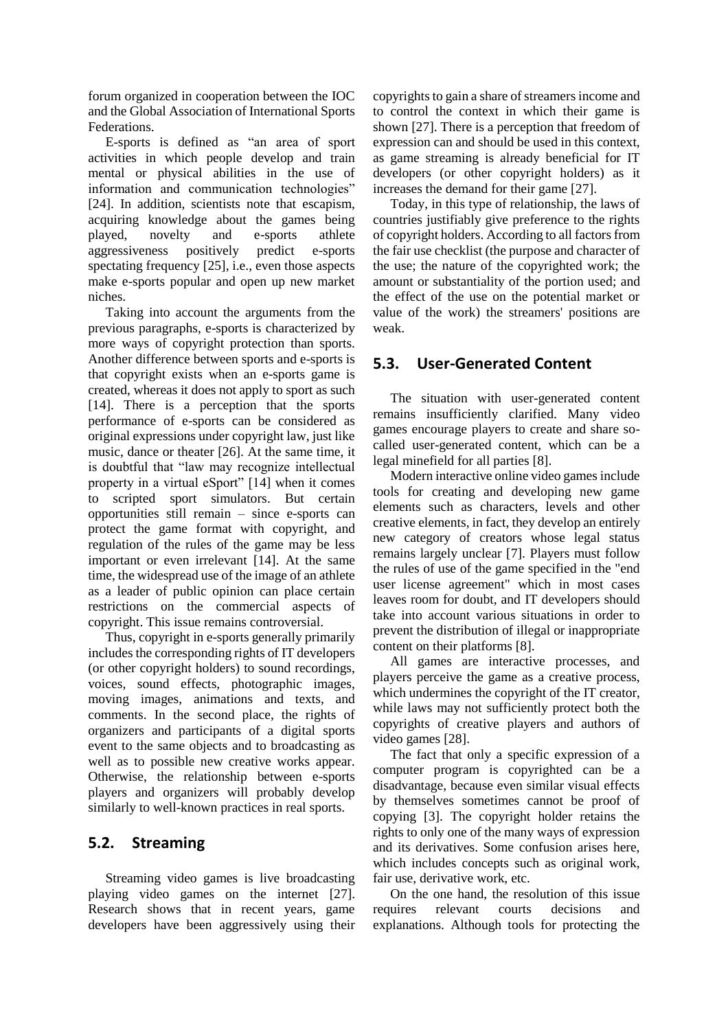forum organized in cooperation between the IOC and the Global Association of International Sports Federations.

E-sports is defined as "an area of sport activities in which people develop and train mental or physical abilities in the use of information and communication technologies" [24]. In addition, scientists note that escapism, acquiring knowledge about the games being played, novelty and e-sports athlete aggressiveness positively predict e-sports spectating frequency [25], i.e., even those aspects make e-sports popular and open up new market niches.

Taking into account the arguments from the previous paragraphs, e-sports is characterized by more ways of copyright protection than sports. Another difference between sports and e-sports is that copyright exists when an e-sports game is created, whereas it does not apply to sport as such [14]. There is a perception that the sports performance of e-sports can be considered as original expressions under copyright law, just like music, dance or theater [26]. At the same time, it is doubtful that "law may recognize intellectual property in a virtual eSport" [14] when it comes to scripted sport simulators. But certain opportunities still remain – since e-sports can protect the game format with copyright, and regulation of the rules of the game may be less important or even irrelevant [14]. At the same time, the widespread use of the image of an athlete as a leader of public opinion can place certain restrictions on the commercial aspects of copyright. This issue remains controversial.

Thus, copyright in e-sports generally primarily includes the corresponding rights of IT developers (or other copyright holders) to sound recordings, voices, sound effects, photographic images, moving images, animations and texts, and comments. In the second place, the rights of organizers and participants of a digital sports event to the same objects and to broadcasting as well as to possible new creative works appear. Otherwise, the relationship between e-sports players and organizers will probably develop similarly to well-known practices in real sports.

#### **5.2. Streaming**

Streaming video games is live broadcasting playing video games on the internet [27]. Research shows that in recent years, game developers have been aggressively using their copyrights to gain a share of streamersincome and to control the context in which their game is shown [27]. There is a perception that freedom of expression can and should be used in this context, as game streaming is already beneficial for IT developers (or other copyright holders) as it increases the demand for their game [27].

Today, in this type of relationship, the laws of countries justifiably give preference to the rights of copyright holders. According to all factors from the fair use checklist (the purpose and character of the use; the nature of the copyrighted work; the amount or substantiality of the portion used; and the effect of the use on the potential market or value of the work) the streamers' positions are weak.

### **5.3. User-Generated Content**

The situation with user-generated content remains insufficiently clarified. Many video games encourage players to create and share socalled user-generated content, which can be a legal minefield for all parties [8].

Modern interactive online video games include tools for creating and developing new game elements such as characters, levels and other creative elements, in fact, they develop an entirely new category of creators whose legal status remains largely unclear [7]. Players must follow the rules of use of the game specified in the "end user license agreement" which in most cases leaves room for doubt, and IT developers should take into account various situations in order to prevent the distribution of illegal or inappropriate content on their platforms [8].

All games are interactive processes, and players perceive the game as a creative process, which undermines the copyright of the IT creator, while laws may not sufficiently protect both the copyrights of creative players and authors of video games [28].

The fact that only a specific expression of a computer program is copyrighted can be a disadvantage, because even similar visual effects by themselves sometimes cannot be proof of copying [3]. The copyright holder retains the rights to only one of the many ways of expression and its derivatives. Some confusion arises here, which includes concepts such as original work, fair use, derivative work, etc.

On the one hand, the resolution of this issue requires relevant courts decisions and explanations. Although tools for protecting the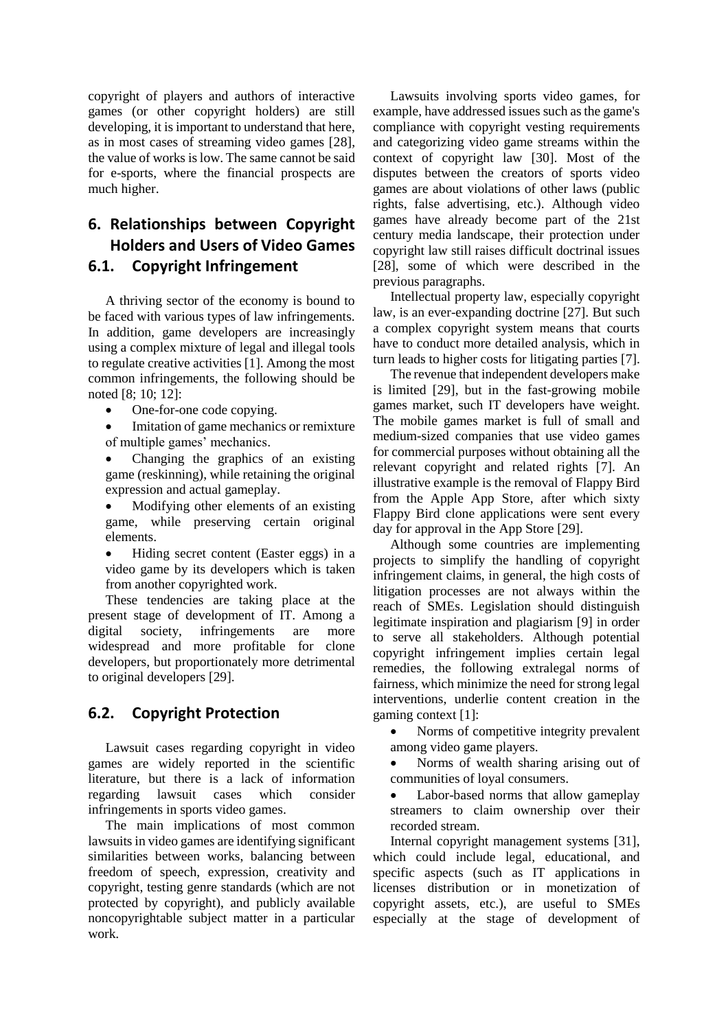copyright of players and authors of interactive games (or other copyright holders) are still developing, it is important to understand that here, as in most cases of streaming video games [28], the value of works is low. The same cannot be said for e-sports, where the financial prospects are much higher.

### **6. Relationships between Copyright Holders and Users of Video Games 6.1. Copyright Infringement**

A thriving sector of the economy is bound to be faced with various types of law infringements. In addition, game developers are increasingly using a complex mixture of legal and illegal tools to regulate creative activities [1]. Among the most common infringements, the following should be noted [8; 10; 12]:

One-for-one code copying.

- Imitation of game mechanics or remixture of multiple games' mechanics.
- Changing the graphics of an existing game (reskinning), while retaining the original expression and actual gameplay.
- Modifying other elements of an existing game, while preserving certain original elements.
- Hiding secret content (Easter eggs) in a video game by its developers which is taken from another copyrighted work.

These tendencies are taking place at the present stage of development of IT. Among a digital society, infringements are more widespread and more profitable for clone developers, but proportionately more detrimental to original developers [29].

## **6.2. Copyright Protection**

Lawsuit cases regarding copyright in video games are widely reported in the scientific literature, but there is a lack of information regarding lawsuit cases which consider infringements in sports video games.

The main implications of most common lawsuits in video games are identifying significant similarities between works, balancing between freedom of speech, expression, creativity and copyright, testing genre standards (which are not protected by copyright), and publicly available noncopyrightable subject matter in a particular work.

Lawsuits involving sports video games, for example, have addressed issues such as the game's compliance with copyright vesting requirements and categorizing video game streams within the context of copyright law [30]. Most of the disputes between the creators of sports video games are about violations of other laws (public rights, false advertising, etc.). Although video games have already become part of the 21st century media landscape, their protection under copyright law still raises difficult doctrinal issues [28], some of which were described in the previous paragraphs.

Intellectual property law, especially copyright law, is an ever-expanding doctrine [27]. But such a complex copyright system means that courts have to conduct more detailed analysis, which in turn leads to higher costs for litigating parties [7].

The revenue that independent developers make is limited [29], but in the fast-growing mobile games market, such IT developers have weight. The mobile games market is full of small and medium-sized companies that use video games for commercial purposes without obtaining all the relevant copyright and related rights [7]. An illustrative example is the removal of Flappy Bird from the Apple App Store, after which sixty Flappy Bird clone applications were sent every day for approval in the App Store [29].

Although some countries are implementing projects to simplify the handling of copyright infringement claims, in general, the high costs of litigation processes are not always within the reach of SMEs. Legislation should distinguish legitimate inspiration and plagiarism [9] in order to serve all stakeholders. Although potential copyright infringement implies certain legal remedies, the following extralegal norms of fairness, which minimize the need for strong legal interventions, underlie content creation in the gaming context [1]:

- Norms of competitive integrity prevalent among video game players.
- Norms of wealth sharing arising out of communities of loyal consumers.
- Labor-based norms that allow gameplay streamers to claim ownership over their recorded stream.

Internal copyright management systems [31], which could include legal, educational, and specific aspects (such as IT applications in licenses distribution or in monetization of copyright assets, etc.), are useful to SMEs especially at the stage of development of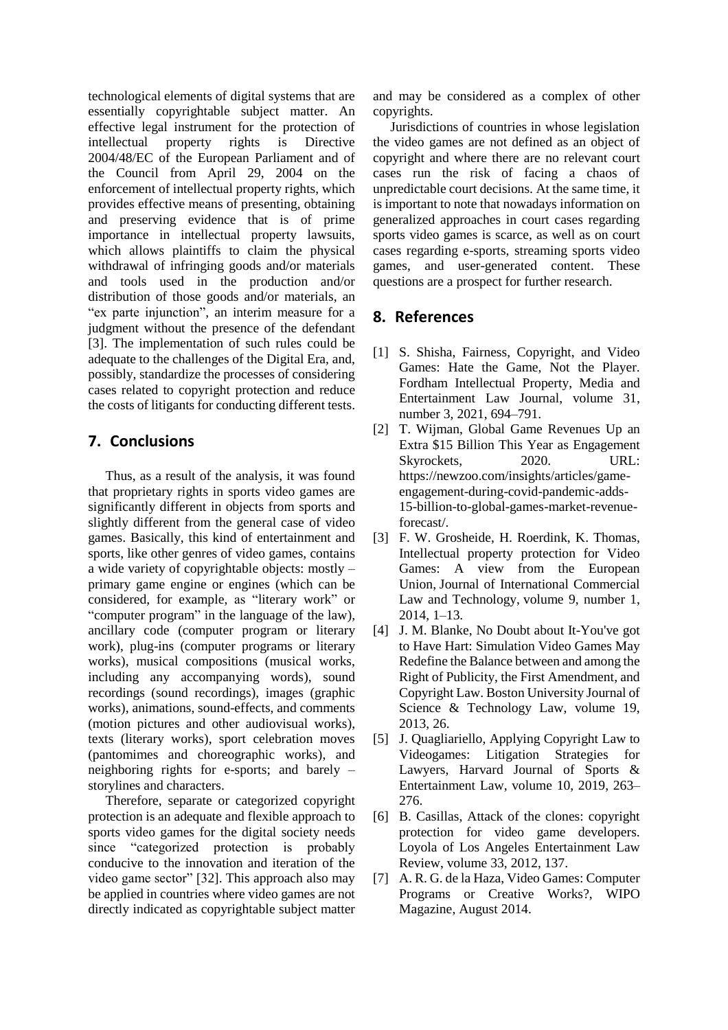technological elements of digital systems that are essentially copyrightable subject matter. An effective legal instrument for the protection of<br>intellectual property rights is Directive intellectual property rights is Directive 2004/48/EC of the European Parliament and of the Council from April 29, 2004 on the enforcement of intellectual property rights, which provides effective means of presenting, obtaining and preserving evidence that is of prime importance in intellectual property lawsuits, which allows plaintiffs to claim the physical withdrawal of infringing goods and/or materials and tools used in the production and/or distribution of those goods and/or materials, an "ex parte injunction", an interim measure for a judgment without the presence of the defendant [3]. The implementation of such rules could be adequate to the challenges of the Digital Era, and, possibly, standardize the processes of considering cases related to copyright protection and reduce the costs of litigants for conducting different tests.

#### **7. Conclusions**

Thus, as a result of the analysis, it was found that proprietary rights in sports video games are significantly different in objects from sports and slightly different from the general case of video games. Basically, this kind of entertainment and sports, like other genres of video games, contains a wide variety of copyrightable objects: mostly – primary game engine or engines (which can be considered, for example, as "literary work" or "computer program" in the language of the law), ancillary code (computer program or literary work), plug-ins (computer programs or literary works), musical compositions (musical works, including any accompanying words), sound recordings (sound recordings), images (graphic works), animations, sound-effects, and comments (motion pictures and other audiovisual works), texts (literary works), sport celebration moves (pantomimes and choreographic works), and neighboring rights for e-sports; and barely – storylines and characters.

Therefore, separate or categorized copyright protection is an adequate and flexible approach to sports video games for the digital society needs since "categorized protection is probably conducive to the innovation and iteration of the video game sector" [32]. This approach also may be applied in countries where video games are not directly indicated as copyrightable subject matter

and may be considered as a complex of other copyrights.

Jurisdictions of countries in whose legislation the video games are not defined as an object of copyright and where there are no relevant court cases run the risk of facing a chaos of unpredictable court decisions. At the same time, it is important to note that nowadays information on generalized approaches in court cases regarding sports video games is scarce, as well as on court cases regarding e-sports, streaming sports video games, and user-generated content. These questions are a prospect for further research.

#### **8. References**

- [1] S. Shisha, Fairness, Copyright, and Video Games: Hate the Game, Not the Player. Fordham Intellectual Property, Media and Entertainment Law Journal, volume 31, number 3, 2021, 694–791.
- [2] T. Wijman, Global Game Revenues Up an Extra \$15 Billion This Year as Engagement Skyrockets, 2020. URL: https://newzoo.com/insights/articles/gameengagement-during-covid-pandemic-adds-15-billion-to-global-games-market-revenueforecast/.
- [3] F. W. Grosheide, H. Roerdink, K. Thomas, Intellectual property protection for Video Games: A view from the European Union, Journal of International Commercial Law and Technology, volume 9, number 1, 2014, 1–13.
- [4] J. M. Blanke, No Doubt about It-You've got to Have Hart: Simulation Video Games May Redefine the Balance between and among the Right of Publicity, the First Amendment, and Copyright Law. Boston University Journal of Science & Technology Law, volume 19, 2013, 26.
- [5] J. Quagliariello, Applying Copyright Law to Videogames: Litigation Strategies for Lawyers, Harvard Journal of Sports & Entertainment Law, volume 10, 2019, 263– 276.
- [6] B. Casillas, Attack of the clones: copyright protection for video game developers. Loyola of Los Angeles Entertainment Law Review, volume 33, 2012, 137.
- [7] A. R. G. de la Haza, Video Games: Computer Programs or Creative Works?, WIPO Magazine, August 2014.